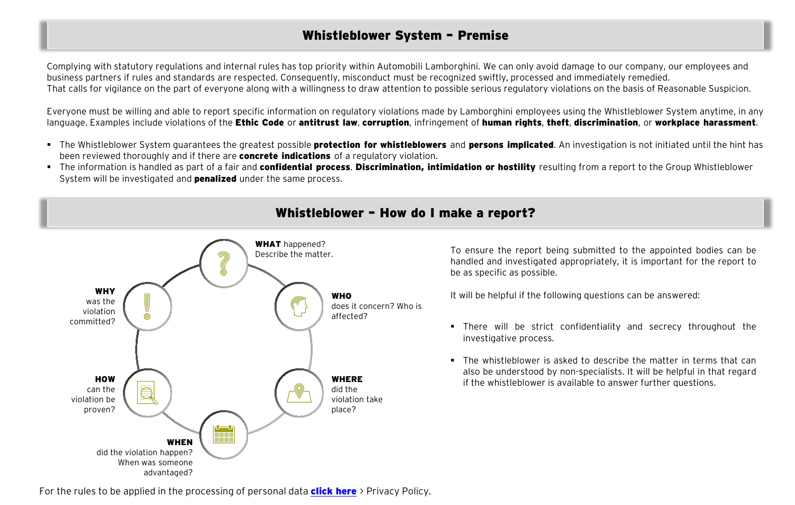## Whistleblower System – Premise

Complying with statutory regulations and internal rules has top priority within Automobili Lamborghini. We can only avoid damage to our company, our employees and business partners if rules and standards are respected. Consequently, misconduct must be recognized swiftly, processed and immediately remedied. That calls for vigilance on the part of everyone along with a willingness to draw attention to possible serious regulatory violations on the basis of Reasonable Suspicion.

Everyone must be willing and able to report specific information on regulatory violations made by Lamborghini employees using the Whistleblower System anytime, in any language. Examples include violations of the Ethic Code or antitrust law, corruption, infringement of human rights, theft, discrimination, or workplace harassment.

- The Whistleblower System guarantees the greatest possible **protection for whistleblowers** and **persons implicated**. An investigation is not initiated until the hint has been reviewed thoroughly and if there are **concrete indications** of a regulatory violation.
- F The information is handled as part of a fair and confidential process. Discrimination, intimidation or hostility resulting from a report to the Group Whistleblower System will be investigated and **penalized** under the same process.



**The matter** matter.<br>Describe the matter. To ensure the report being submitted to the appointed bodies can be handled and investigated appropriately, it is important for the report to be as specific as possible.

It will be helpful if the following questions can be answered:

- There will be strict confidentiality and secrecy throughout the investigative process.
- The whistleblower is asked to describe the matter in terms that can also be understood by non-specialists. It will be helpful in that regard if the whistleblower is available to answer further questions.

For the rules to be applied in the processing of personal data **[click here](http://admin.www.lamborghini.com/sites/it-en/files/DAM/lamborghini/company/pdf/2019/2019_02_25_privacy_whistleblower_EN.PDF)** > Privacy Policy.